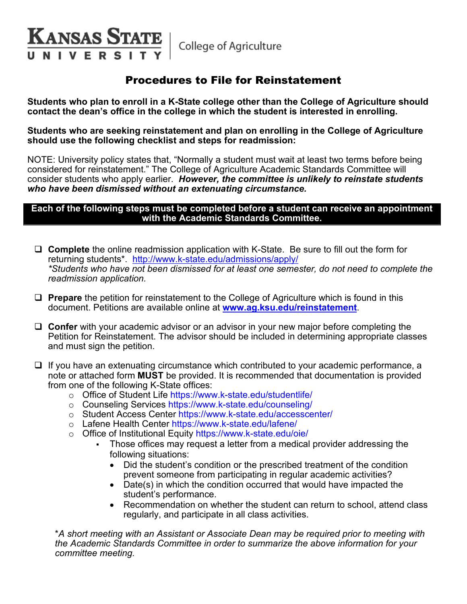College of Agriculture

**KANSAS STATE** 

**VIVERS** 

# Procedures to File for Reinstatement

**Students who plan to enroll in a K-State college other than the College of Agriculture should contact the dean's office in the college in which the student is interested in enrolling.**

**Students who are seeking reinstatement and plan on enrolling in the College of Agriculture should use the following checklist and steps for readmission:**

NOTE: University policy states that, "Normally a student must wait at least two terms before being considered for reinstatement." The College of Agriculture Academic Standards Committee will consider students who apply earlier.*However, the committee is unlikely to reinstate students who have been dismissed without an extenuating circumstance.*

#### **Each of the following steps must be completed before a student can receive an appointment with the Academic Standards Committee.**

- **Complete** the online readmission application with K-State. Be sure to fill out the form for returning students\*. <http://www.k-state.edu/admissions/apply/> *\*Students who have not been dismissed for at least one semester, do not need to complete the readmission application.*
- **Prepare** the petition for reinstatement to the College of Agriculture which is found in this document. Petitions are available online at **[www.ag.ksu.edu/reinstatement](http://www.ag.ksu.edu/reinstatement)**.
- **Confer** with your academic advisor or an advisor in your new major before completing the Petition for Reinstatement. The advisor should be included in determining appropriate classes and must sign the petition.
- $\Box$  If you have an extenuating circumstance which contributed to your academic performance, a note or attached form **MUST** be provided. It is recommended that documentation is provided from one of the following K-State offices:
	- o Office of Student Life https://www.k-state.edu/studentlife/
	- o Counseling Services https://www.k-state.edu/counseling/
	- o Student Access Center https://www.k-state.edu/accesscenter/
	- o Lafene Health Center https://www.k-state.edu/lafene/
	- o Office of Institutional Equity https://www.k-state.edu/oie/
		- Those offices may request a letter from a medical provider addressing the following situations:
			- Did the student's condition or the prescribed treatment of the condition prevent someone from participating in regular academic activities?
			- Date(s) in which the condition occurred that would have impacted the student's performance.
			- Recommendation on whether the student can return to school, attend class regularly, and participate in all class activities.

\**A short meeting with an Assistant or Associate Dean may be required prior to meeting with the Academic Standards Committee in order to summarize the above information for your committee meeting.*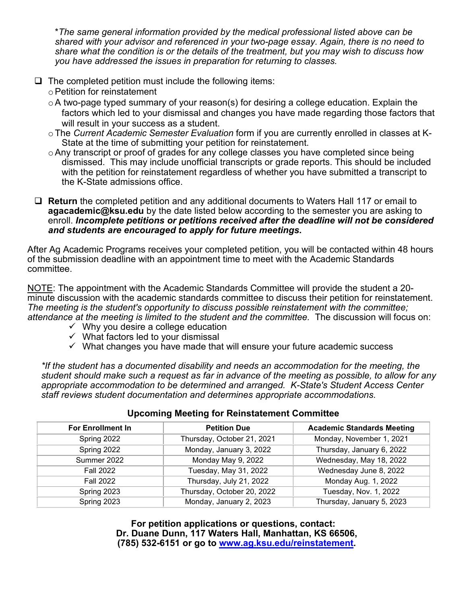\**The same general information provided by the medical professional listed above can be shared with your advisor and referenced in your two-page essay. Again, there is no need to share what the condition is or the details of the treatment, but you may wish to discuss how you have addressed the issues in preparation for returning to classes.*

- $\Box$  The completed petition must include the following items:
	- oPetition for reinstatement
	- $\circ$  A two-page typed summary of your reason(s) for desiring a college education. Explain the factors which led to your dismissal and changes you have made regarding those factors that will result in your success as a student.
	- oThe *Current Academic Semester Evaluation* form if you are currently enrolled in classes at K-State at the time of submitting your petition for reinstatement.
	- o Any transcript or proof of grades for any college classes you have completed since being dismissed. This may include unofficial transcripts or grade reports. This should be included with the petition for reinstatement regardless of whether you have submitted a transcript to the K-State admissions office.
- **Return** the completed petition and any additional documents to Waters Hall 117 or email to **agacademic@ksu.edu** by the date listed below according to the semester you are asking to enroll. *Incomplete petitions or petitions received after the deadline will not be considered and students are encouraged to apply for future meetings.*

After Ag Academic Programs receives your completed petition, you will be contacted within 48 hours of the submission deadline with an appointment time to meet with the Academic Standards committee.

NOTE: The appointment with the Academic Standards Committee will provide the student a 20 minute discussion with the academic standards committee to discuss their petition for reinstatement. *The meeting is the student's opportunity to discuss possible reinstatement with the committee; attendance at the meeting is limited to the student and the committee.* The discussion will focus on:

- $\checkmark$  Why you desire a college education
- $\checkmark$  What factors led to your dismissal
- $\checkmark$  What changes you have made that will ensure your future academic success

*\*If the student has a documented disability and needs an accommodation for the meeting, the student should make such a request as far in advance of the meeting as possible, to allow for any appropriate accommodation to be determined and arranged. K-State's Student Access Center staff reviews student documentation and determines appropriate accommodations.*

| <b>For Enrollment In</b> | <b>Petition Due</b>        | <b>Academic Standards Meeting</b> |  |  |  |
|--------------------------|----------------------------|-----------------------------------|--|--|--|
| Spring 2022              | Thursday, October 21, 2021 | Monday, November 1, 2021          |  |  |  |
| Spring 2022              | Monday, January 3, 2022    | Thursday, January 6, 2022         |  |  |  |
| Summer 2022              | Monday May 9, 2022         | Wednesday, May 18, 2022           |  |  |  |
| <b>Fall 2022</b>         | Tuesday, May 31, 2022      | Wednesday June 8, 2022            |  |  |  |
| <b>Fall 2022</b>         | Thursday, July 21, 2022    | Monday Aug. 1, 2022               |  |  |  |
| Spring 2023              | Thursday, October 20, 2022 | Tuesday, Nov. 1, 2022             |  |  |  |
| Spring 2023              | Monday, January 2, 2023    | Thursday, January 5, 2023         |  |  |  |

#### **Upcoming Meeting for Reinstatement Committee**

**For petition applications or questions, contact: Dr. Duane Dunn, 117 Waters Hall, Manhattan, KS 66506, (785) 532-6151 or go to [www.ag.ksu.edu/reinstatement.](http://www.ag.ksu.edu/reinstatement)**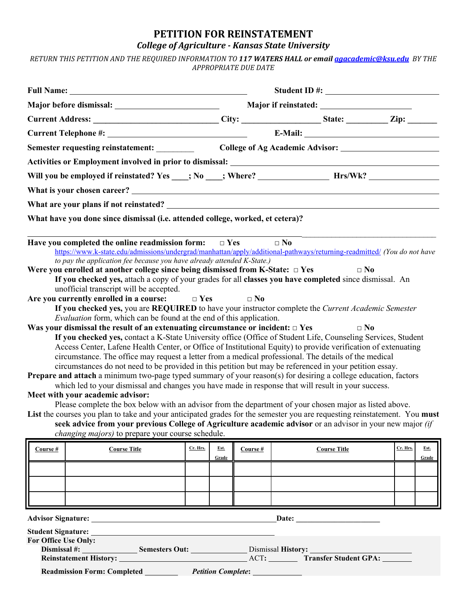### **PETITION FOR REINSTATEMENT** *College of Agriculture - Kansas State University*

*RETURN THIS PETITION AND THE REQUIRED INFORMATION TO 117 WATERS HALL or emai[l agacademic@ksu.edu](mailto:agacademic@ksu.edu) BY THE APPROPRIATE DUE DATE*

|                                                                                | Semester requesting reinstatement: _________                                                                                                                                                                                                                                                                                                                                                                                                                                                                                                                                                                                                                                                                                                                                                                                                                                                                                                                                                                                                                                                                                                                                                                                                                                                                                                                                                                                                                                                                                                                                                                                                                                                                                                                                                                                                                                                                                                                                           |          |       |                      |              |                           |          |       |  |  |
|--------------------------------------------------------------------------------|----------------------------------------------------------------------------------------------------------------------------------------------------------------------------------------------------------------------------------------------------------------------------------------------------------------------------------------------------------------------------------------------------------------------------------------------------------------------------------------------------------------------------------------------------------------------------------------------------------------------------------------------------------------------------------------------------------------------------------------------------------------------------------------------------------------------------------------------------------------------------------------------------------------------------------------------------------------------------------------------------------------------------------------------------------------------------------------------------------------------------------------------------------------------------------------------------------------------------------------------------------------------------------------------------------------------------------------------------------------------------------------------------------------------------------------------------------------------------------------------------------------------------------------------------------------------------------------------------------------------------------------------------------------------------------------------------------------------------------------------------------------------------------------------------------------------------------------------------------------------------------------------------------------------------------------------------------------------------------------|----------|-------|----------------------|--------------|---------------------------|----------|-------|--|--|
|                                                                                |                                                                                                                                                                                                                                                                                                                                                                                                                                                                                                                                                                                                                                                                                                                                                                                                                                                                                                                                                                                                                                                                                                                                                                                                                                                                                                                                                                                                                                                                                                                                                                                                                                                                                                                                                                                                                                                                                                                                                                                        |          |       |                      |              |                           |          |       |  |  |
|                                                                                |                                                                                                                                                                                                                                                                                                                                                                                                                                                                                                                                                                                                                                                                                                                                                                                                                                                                                                                                                                                                                                                                                                                                                                                                                                                                                                                                                                                                                                                                                                                                                                                                                                                                                                                                                                                                                                                                                                                                                                                        |          |       |                      |              |                           |          |       |  |  |
|                                                                                |                                                                                                                                                                                                                                                                                                                                                                                                                                                                                                                                                                                                                                                                                                                                                                                                                                                                                                                                                                                                                                                                                                                                                                                                                                                                                                                                                                                                                                                                                                                                                                                                                                                                                                                                                                                                                                                                                                                                                                                        |          |       |                      |              |                           |          |       |  |  |
|                                                                                |                                                                                                                                                                                                                                                                                                                                                                                                                                                                                                                                                                                                                                                                                                                                                                                                                                                                                                                                                                                                                                                                                                                                                                                                                                                                                                                                                                                                                                                                                                                                                                                                                                                                                                                                                                                                                                                                                                                                                                                        |          |       |                      |              |                           |          |       |  |  |
| What have you done since dismissal (i.e. attended college, worked, et cetera)? |                                                                                                                                                                                                                                                                                                                                                                                                                                                                                                                                                                                                                                                                                                                                                                                                                                                                                                                                                                                                                                                                                                                                                                                                                                                                                                                                                                                                                                                                                                                                                                                                                                                                                                                                                                                                                                                                                                                                                                                        |          |       |                      |              |                           |          |       |  |  |
|                                                                                | Have you completed the online readmission form: $\square$ Yes<br>https://www.k-state.edu/admissions/undergrad/manhattan/apply/additional-pathways/returning-readmitted/ (You do not have<br>to pay the application fee because you have already attended K-State.)<br>Were you enrolled at another college since being dismissed from K-State: $\Box$ Yes<br>If you checked yes, attach a copy of your grades for all classes you have completed since dismissal. An<br>unofficial transcript will be accepted.<br>Are you currently enrolled in a course:<br>If you checked yes, you are REQUIRED to have your instructor complete the Current Academic Semester<br><i>Evaluation</i> form, which can be found at the end of this application.<br>Was your dismissal the result of an extenuating circumstance or incident: $\Box$ Yes<br>If you checked yes, contact a K-State University office (Office of Student Life, Counseling Services, Student<br>Access Center, Lafene Health Center, or Office of Institutional Equity) to provide verification of extenuating<br>circumstance. The office may request a letter from a medical professional. The details of the medical<br>circumstances do not need to be provided in this petition but may be referenced in your petition essay.<br>Prepare and attach a minimum two-page typed summary of your reason(s) for desiring a college education, factors<br>which led to your dismissal and changes you have made in response that will result in your success.<br>Meet with your academic advisor:<br>Please complete the box below with an advisor from the department of your chosen major as listed above.<br>List the courses you plan to take and your anticipated grades for the semester you are requesting reinstatement. You must<br>seek advice from your previous College of Agriculture academic advisor or an advisor in your new major <i>(if</i><br><i>changing majors</i> ) to prepare your course schedule. |          |       | $\Box$ Yes $\Box$ No | $\square$ No | $\square$ No<br>$\Box$ No |          |       |  |  |
| Course #                                                                       | <b>Course Title</b>                                                                                                                                                                                                                                                                                                                                                                                                                                                                                                                                                                                                                                                                                                                                                                                                                                                                                                                                                                                                                                                                                                                                                                                                                                                                                                                                                                                                                                                                                                                                                                                                                                                                                                                                                                                                                                                                                                                                                                    | Cr. Hrs. | Est.  | Course #             |              | <b>Course Title</b>       | Cr. Hrs. | Est.  |  |  |
|                                                                                |                                                                                                                                                                                                                                                                                                                                                                                                                                                                                                                                                                                                                                                                                                                                                                                                                                                                                                                                                                                                                                                                                                                                                                                                                                                                                                                                                                                                                                                                                                                                                                                                                                                                                                                                                                                                                                                                                                                                                                                        |          | Grade |                      |              |                           |          | Grade |  |  |
|                                                                                |                                                                                                                                                                                                                                                                                                                                                                                                                                                                                                                                                                                                                                                                                                                                                                                                                                                                                                                                                                                                                                                                                                                                                                                                                                                                                                                                                                                                                                                                                                                                                                                                                                                                                                                                                                                                                                                                                                                                                                                        |          |       |                      |              |                           |          |       |  |  |
|                                                                                |                                                                                                                                                                                                                                                                                                                                                                                                                                                                                                                                                                                                                                                                                                                                                                                                                                                                                                                                                                                                                                                                                                                                                                                                                                                                                                                                                                                                                                                                                                                                                                                                                                                                                                                                                                                                                                                                                                                                                                                        |          |       |                      |              |                           |          |       |  |  |
|                                                                                |                                                                                                                                                                                                                                                                                                                                                                                                                                                                                                                                                                                                                                                                                                                                                                                                                                                                                                                                                                                                                                                                                                                                                                                                                                                                                                                                                                                                                                                                                                                                                                                                                                                                                                                                                                                                                                                                                                                                                                                        |          |       |                      |              |                           |          |       |  |  |
|                                                                                |                                                                                                                                                                                                                                                                                                                                                                                                                                                                                                                                                                                                                                                                                                                                                                                                                                                                                                                                                                                                                                                                                                                                                                                                                                                                                                                                                                                                                                                                                                                                                                                                                                                                                                                                                                                                                                                                                                                                                                                        |          |       |                      |              |                           |          |       |  |  |
| For Office Use Only:                                                           | Student Signature: <u>Student Signature:</u><br>Dismissal #: Semesters Out: Dismissal History:<br>Readmission Form: Completed Petition Complete:                                                                                                                                                                                                                                                                                                                                                                                                                                                                                                                                                                                                                                                                                                                                                                                                                                                                                                                                                                                                                                                                                                                                                                                                                                                                                                                                                                                                                                                                                                                                                                                                                                                                                                                                                                                                                                       |          |       |                      |              |                           |          |       |  |  |